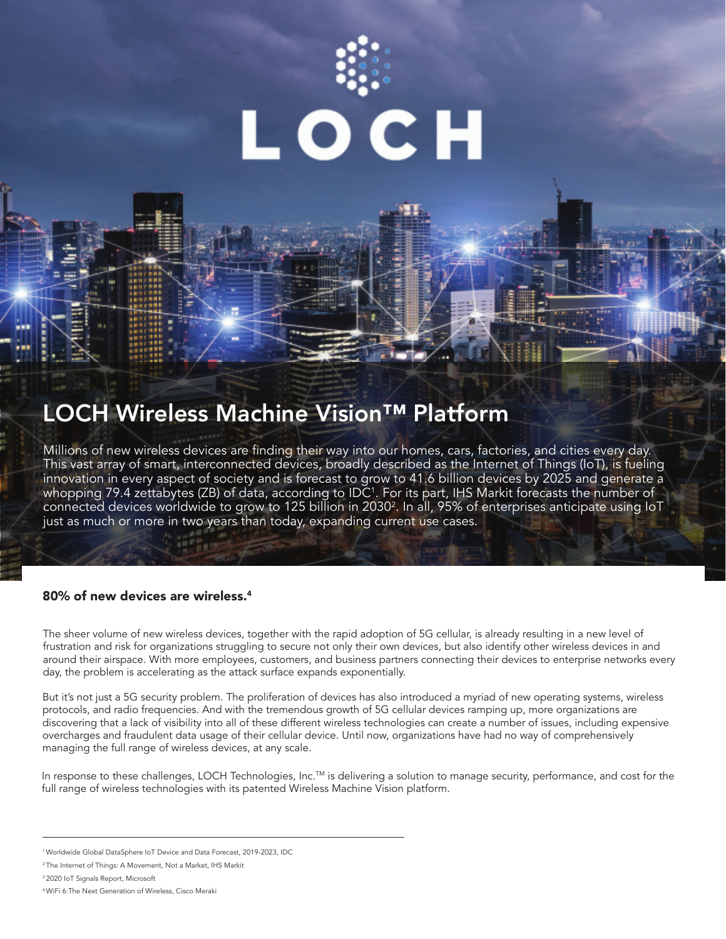

### LOCH Wireless Machine Vision™ Platform

Millions of new wireless devices are finding their way into our homes, cars, factories, and cities every day. This vast array of smart, interconnected devices, broadly described as the Internet of Things (IoT), is fueling innovation in every aspect of society and is forecast to grow to 41.6 billion devices by 2025 and generate a whopping 79.4 zettabytes (ZB) of data, according to IDC<sup>1</sup>. For its part, IHS Markit forecasts the number of connected devices worldwide to grow to 125 billion in 2030 $^{\rm 2}$ . In all, 95% of enterprises anticipate using IoT just as much or more in two years than today, expanding current use cases.

#### 80% of new devices are wireless.<sup>4</sup>

The sheer volume of new wireless devices, together with the rapid adoption of 5G cellular, is already resulting in a new level of frustration and risk for organizations struggling to secure not only their own devices, but also identify other wireless devices in and around their airspace. With more employees, customers, and business partners connecting their devices to enterprise networks every day, the problem is accelerating as the attack surface expands exponentially.

But it's not just a 5G security problem. The proliferation of devices has also introduced a myriad of new operating systems, wireless protocols, and radio frequencies. And with the tremendous growth of 5G cellular devices ramping up, more organizations are discovering that a lack of visibility into all of these different wireless technologies can create a number of issues, including expensive overcharges and fraudulent data usage of their cellular device. Until now, organizations have had no way of comprehensively managing the full range of wireless devices, at any scale.

In response to these challenges, LOCH Technologies, Inc.™ is delivering a solution to manage security, performance, and cost for the full range of wireless technologies with its patented Wireless Machine Vision platform.

<sup>1</sup>Worldwide Global DataSphere IoT Device and Data Forecast, 2019-2023, IDC

<sup>2</sup>The Internet of Things: A Movement, Not a Market, IHS Markit

<sup>3</sup>2020 IoT Signals Report, Microsoft

<sup>4</sup>WiFi 6:The Next Generation of Wireless, Cisco Meraki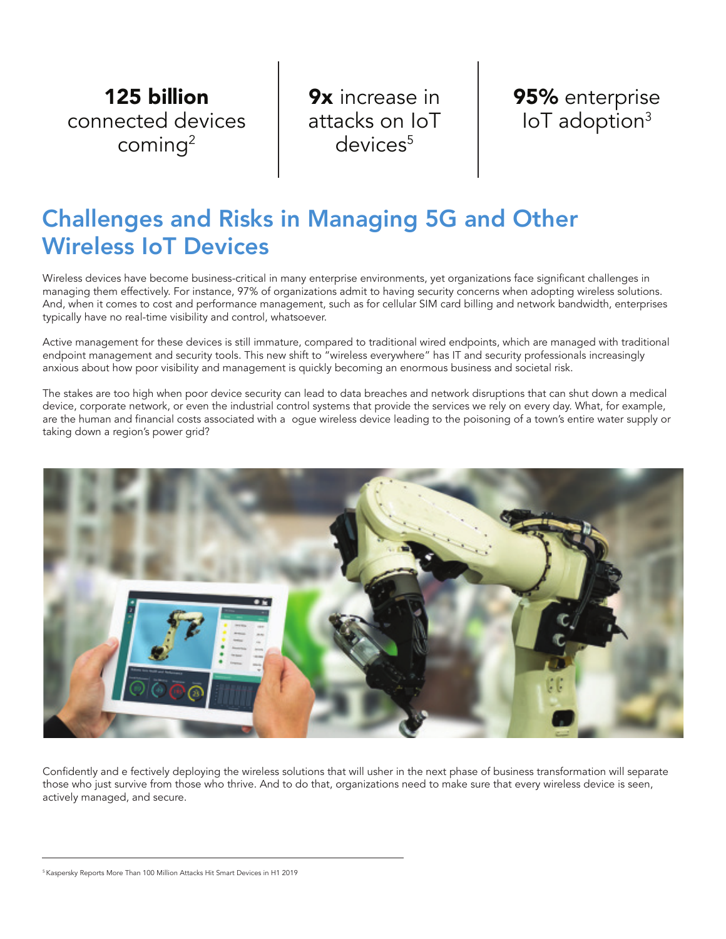125 billion connected devices coming<sup>2</sup>

9x increase in attacks on IoT devices<sup>5</sup>



### Challenges and Risks in Managing 5G and Other Wireless IoT Devices

Wireless devices have become business-critical in many enterprise environments, yet organizations face significant challenges in managing them effectively. For instance, 97% of organizations admit to having security concerns when adopting wireless solutions. And, when it comes to cost and performance management, such as for cellular SIM card billing and network bandwidth, enterprises typically have no real-time visibility and control, whatsoever.

Active management for these devices is still immature, compared to traditional wired endpoints, which are managed with traditional endpoint management and security tools. This new shift to "wireless everywhere" has IT and security professionals increasingly anxious about how poor visibility and management is quickly becoming an enormous business and societal risk.

The stakes are too high when poor device security can lead to data breaches and network disruptions that can shut down a medical device, corporate network, or even the industrial control systems that provide the services we rely on every day. What, for example, are the human and financial costs associated with a ogue wireless device leading to the poisoning of a town's entire water supply or taking down a region's power grid?



Confidently and e fectively deploying the wireless solutions that will usher in the next phase of business transformation will separate those who just survive from those who thrive. And to do that, organizations need to make sure that every wireless device is seen, actively managed, and secure.

<sup>&</sup>lt;sup>5</sup> Kaspersky Reports More Than 100 Million Attacks Hit Smart Devices in H1 2019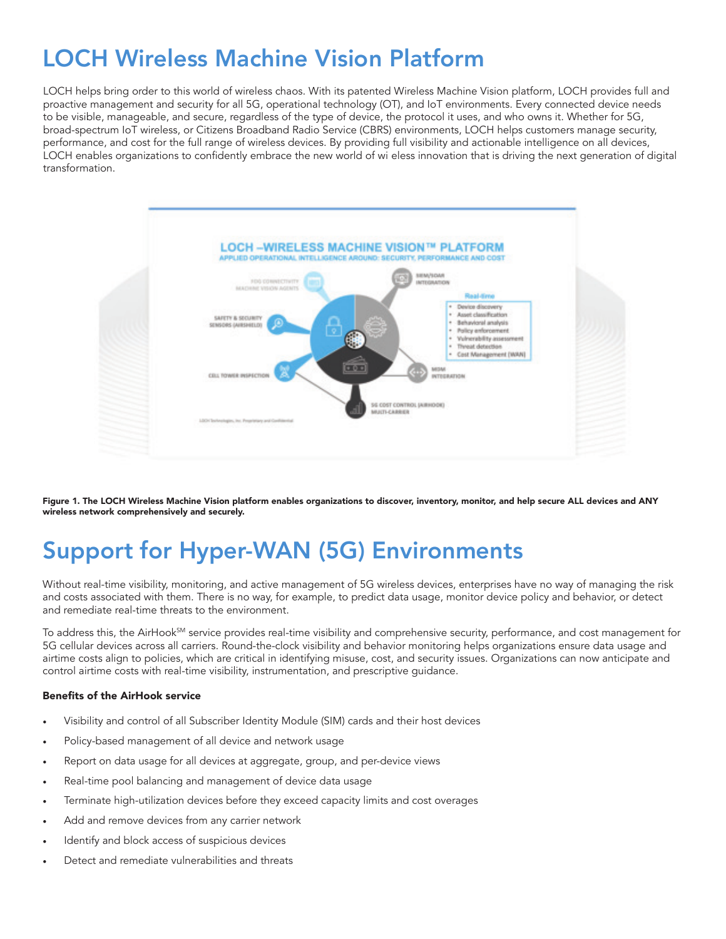# LOCH Wireless Machine Vision Platform

LOCH helps bring order to this world of wireless chaos. With its patented Wireless Machine Vision platform, LOCH provides full and proactive management and security for all 5G, operational technology (OT), and IoT environments. Every connected device needs to be visible, manageable, and secure, regardless of the type of device, the protocol it uses, and who owns it. Whether for 5G, broad-spectrum IoT wireless, or Citizens Broadband Radio Service (CBRS) environments, LOCH helps customers manage security, performance, and cost for the full range of wireless devices. By providing full visibility and actionable intelligence on all devices, LOCH enables organizations to confidently embrace the new world of wi eless innovation that is driving the next generation of digital transformation.



Figure 1. The LOCH Wireless Machine Vision platform enables organizations to discover, inventory, monitor, and help secure ALL devices and ANY wireless network comprehensively and securely.

# Support for Hyper-WAN (5G) Environments

Without real-time visibility, monitoring, and active management of 5G wireless devices, enterprises have no way of managing the risk and costs associated with them. There is no way, for example, to predict data usage, monitor device policy and behavior, or detect and remediate real-time threats to the environment.

To address this, the AirHook<sup>sm</sup> service provides real-time visibility and comprehensive security, performance, and cost management for 5G cellular devices across all carriers. Round-the-clock visibility and behavior monitoring helps organizations ensure data usage and airtime costs align to policies, which are critical in identifying misuse, cost, and security issues. Organizations can now anticipate and control airtime costs with real-time visibility, instrumentation, and prescriptive guidance.

#### Benefits of the AirHook service

- Visibility and control of all Subscriber Identity Module (SIM) cards and their host devices
- Policy-based management of all device and network usage
- Report on data usage for all devices at aggregate, group, and per-device views
- Real-time pool balancing and management of device data usage
- Terminate high-utilization devices before they exceed capacity limits and cost overages
- Add and remove devices from any carrier network
- Identify and block access of suspicious devices
- Detect and remediate vulnerabilities and threats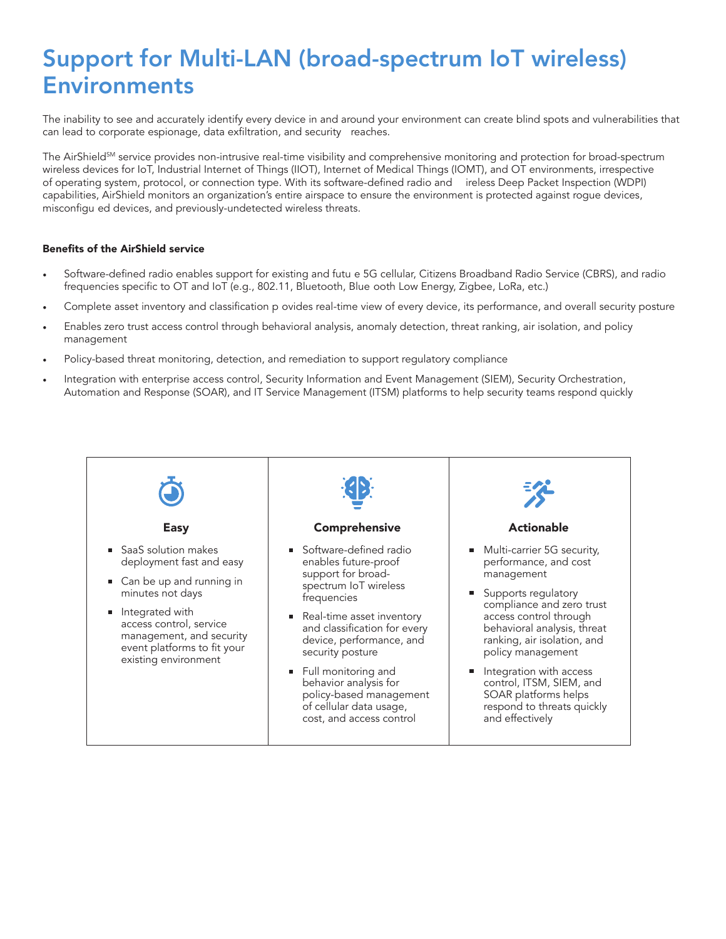## Support for Multi-LAN (broad-spectrum IoT wireless) Environments

The inability to see and accurately identify every device in and around your environment can create blind spots and vulnerabilities that can lead to corporate espionage, data exfiltration, and security reaches.

The AirShield<sup>SM</sup> service provides non-intrusive real-time visibility and comprehensive monitoring and protection for broad-spectrum wireless devices for IoT, Industrial Internet of Things (IIOT), Internet of Medical Things (IOMT), and OT environments, irrespective of operating system, protocol, or connection type. With its software-defined radio and ireless Deep Packet Inspection (WDPI) capabilities, AirShield monitors an organization's entire airspace to ensure the environment is protected against rogue devices, misconfigu ed devices, and previously-undetected wireless threats.

#### Benefits of the AirShield service

- Software-defined radio enables support for existing and futu e 5G cellular, Citizens Broadband Radio Service (CBRS), and radio frequencies specific to OT and IoT (e.g., 802.11, Bluetooth, Blue ooth Low Energy, Zigbee, LoRa, etc.)
- Complete asset inventory and classification p ovides real-time view of every device, its performance, and overall security posture
- Enables zero trust access control through behavioral analysis, anomaly detection, threat ranking, air isolation, and policy management
- Policy-based threat monitoring, detection, and remediation to support regulatory compliance
- Integration with enterprise access control, Security Information and Event Management (SIEM), Security Orchestration, Automation and Response (SOAR), and IT Service Management (ITSM) platforms to help security teams respond quickly